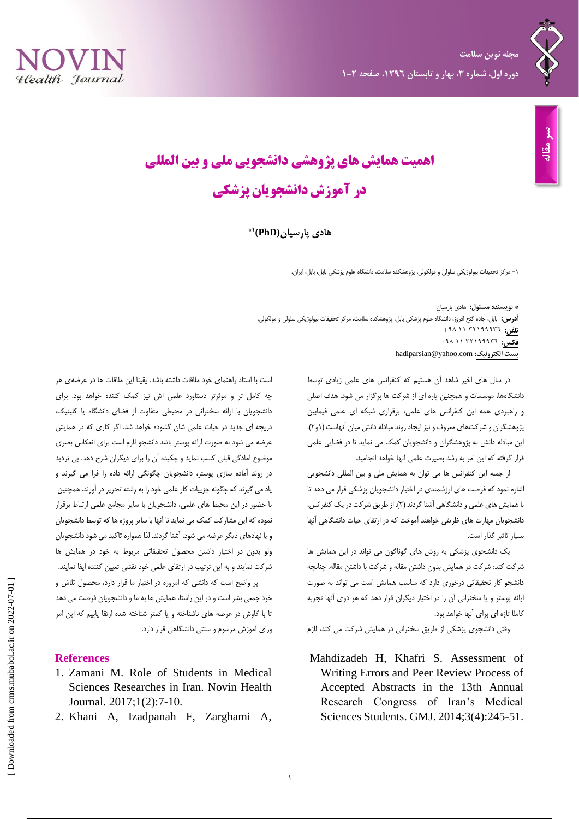



## **اهمیت همایش های پژوهشی دانشجویی ملی و بین المللی در آموزش دانشجویان پزشکی**

**9\* هادی پارسیان(PhD(**

-1 مرکز تحقیقات بیولوژیکی سلولی و مولکولی، پژوهشکده سلامت، دانشگاه علوم پزشکی بابل، بابل، ایران.

**\* نویسنده مسئول:** هادی پارسیان **آدرس:** بابل، جاده گنج افروز، دانشگاه علوم پزشکی بابل، پژوهشکده سلامت، مرکز تحقیقات بیولوژیکی سلولی و مولکولی. **تلفن:** 23911123 99 +19 فکس: ۴۹۸ ۱۱ ۳۲۱۹۹۹۳۲ hadiparsian@yahoo.com **:الکترونیک پست**

> در سال های اخیر شاهد آن هستیم که کنفرانس های علمی زیادی توسط دانشگاهها، موسسات و همچنین پاره ای از شرکت ها برگزار می شود. هدف اصلی و راهبردی همه این کنفرانس های علمی، برقراری شبکه ای علمی فیمابین پژوهشگران و شرکتهای معروف و نیز ایجاد روند مبادله دانش میان آنهاست )1و2(. این مبادله دانش به پژوهشگران و دانشجویان کمک می نماید تا در فضایی علمی قرار گرفته که این امر به رشد بصیرت علمی آنها خواهد انجامید.

> از جمله این کنفرانس ها می توان به همایش ملی و بین المللی دانشجویی اشاره نمود که فرصت های ارزشمندی در اختیار دانشجویان پزشکی قرار می دهد تا با همایش های علمی و دانشگاهی آشنا گردند )2(. از طریق شرکت در یک کنفرانس، دانشجویان مهارت های ظریفی خواهند آموخت که در ارتقای حیات دانشگاهی آنها بسیار تاثیر گذار است.

> یک دانشجوی پزشکی به روش های گوناگون می تواند در این همایش ها شرکت کند: شرکت در همایش بدون داشتن مقاله و شرکت با داشتن مقاله. چنانچه دانشجو کار تحقیقاتی درخوری دارد که مناسب همایش است می تواند به صورت ارائه پوستر و یا سخنرانی آن را در اختیار دیگران قرار دهد که هر دوی آنها تجربه کاملا تازه ای برای آنها خواهد بود.

وقتی دانشجوی پزشکی از طریق سخنرانی در همایش شرکت می کند، لازم

Mahdizadeh H, Khafri S. Assessment of Writing Errors and Peer Review Process of Accepted Abstracts in the 13th Annual Research Congress of Iran's Medical Sciences Students. GMJ. 2014;3(4):245-51.

است با استاد راهنمای خود ملاقات داشته باشد. یقینا این ملاقات ها در عرضهی هر چه کامل تر و موثرتر دستاورد علمی اش نیز کمک کننده خواهد بود. برای دانشجویان با ارائه سخنرانی در محیطی متفاوت از فضای دانشگاه یا کلینیک، دریچه ای جدید در حیات علمی شان گشوده خواهد شد. اگر کاری که در همایش عرضه می شود به صورت ارائه پوستر باشد دانشجو لازم است برای انعکاس بصری موضوع آمادگی قبلی کسب نماید و چکیده آن را برای دیگران شرح دهد. بی تردید در روند آماده سازی پوستر، دانشجویان چگونگی ارائه داده را فرا می گیرند و یاد می گیرند که چگونه جزییات کار علمی خود را به رشته تحریر در آورند. همچنین با حضور در این محیط های علمی، دانشجویان با سایر مجامع علمی ارتباط برقرار نموده که این مشارکت کمک می نماید تا آنها با سایر پروژه ها که توسط دانشجویان و یا نهادهای دیگر عرضه می شود، آشنا گردند. لذا همواره تاکید می شود دانشجویان ولو بدون در اختیار داشتن محصول تحقیقاتی مربوط به خود در همایش ها شرکت نمایند و به این ترتیب در ارتقای علمی خود نقشی تعیین کننده ایفا نمایند. پر واضح است که دانشی که امروزه در اختیار ما قرار دارد، محصول تلاش و خرد جمعی بشر است و در این راستا، همایش ها به ما و دانشجویان فرصت می دهد

تا با کاوش در عرصه های ناشناخته و یا کمتر شناخته شده ارتقا یابیم که این امر ورای آموزش مرسوم و سنتی دانشگاهی قرار دارد.

## **References**

- 1. Zamani M. Role of Students in Medical Sciences Researches in Iran. Novin Health Journal. 2017;1(2):7-10.
- 2. Khani A, Izadpanah F, Zarghami A,